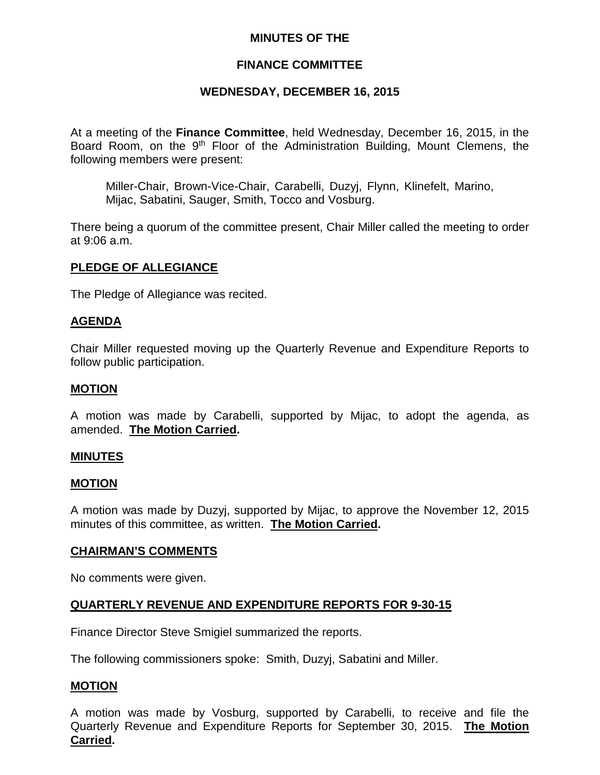### **MINUTES OF THE**

#### **FINANCE COMMITTEE**

#### **WEDNESDAY, DECEMBER 16, 2015**

At a meeting of the **Finance Committee**, held Wednesday, December 16, 2015, in the Board Room, on the 9<sup>th</sup> Floor of the Administration Building, Mount Clemens, the following members were present:

Miller-Chair, Brown-Vice-Chair, Carabelli, Duzyj, Flynn, Klinefelt, Marino, Mijac, Sabatini, Sauger, Smith, Tocco and Vosburg.

There being a quorum of the committee present, Chair Miller called the meeting to order at 9:06 a.m.

#### **PLEDGE OF ALLEGIANCE**

The Pledge of Allegiance was recited.

#### **AGENDA**

Chair Miller requested moving up the Quarterly Revenue and Expenditure Reports to follow public participation.

#### **MOTION**

A motion was made by Carabelli, supported by Mijac, to adopt the agenda, as amended. **The Motion Carried.**

#### **MINUTES**

#### **MOTION**

A motion was made by Duzyj, supported by Mijac, to approve the November 12, 2015 minutes of this committee, as written. **The Motion Carried.**

#### **CHAIRMAN'S COMMENTS**

No comments were given.

#### **QUARTERLY REVENUE AND EXPENDITURE REPORTS FOR 9-30-15**

Finance Director Steve Smigiel summarized the reports.

The following commissioners spoke: Smith, Duzyj, Sabatini and Miller.

#### **MOTION**

A motion was made by Vosburg, supported by Carabelli, to receive and file the Quarterly Revenue and Expenditure Reports for September 30, 2015. **The Motion Carried.**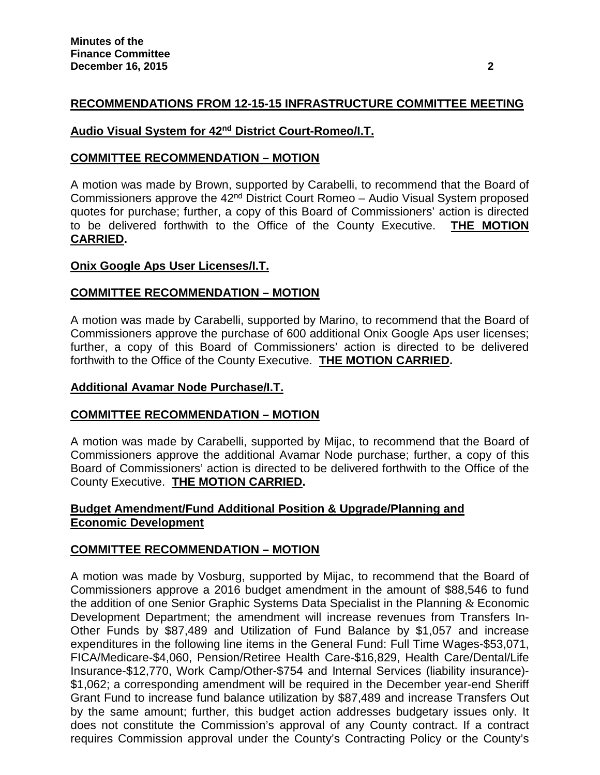# **RECOMMENDATIONS FROM 12-15-15 INFRASTRUCTURE COMMITTEE MEETING**

# **Audio Visual System for 42nd District Court-Romeo/I.T.**

### **COMMITTEE RECOMMENDATION – MOTION**

A motion was made by Brown, supported by Carabelli, to recommend that the Board of Commissioners approve the 42<sup>nd</sup> District Court Romeo – Audio Visual System proposed quotes for purchase; further, a copy of this Board of Commissioners' action is directed to be delivered forthwith to the Office of the County Executive. **THE MOTION CARRIED.**

### **Onix Google Aps User Licenses/I.T.**

### **COMMITTEE RECOMMENDATION – MOTION**

A motion was made by Carabelli, supported by Marino, to recommend that the Board of Commissioners approve the purchase of 600 additional Onix Google Aps user licenses; further, a copy of this Board of Commissioners' action is directed to be delivered forthwith to the Office of the County Executive. **THE MOTION CARRIED.**

### **Additional Avamar Node Purchase/I.T.**

### **COMMITTEE RECOMMENDATION – MOTION**

A motion was made by Carabelli, supported by Mijac, to recommend that the Board of Commissioners approve the additional Avamar Node purchase; further, a copy of this Board of Commissioners' action is directed to be delivered forthwith to the Office of the County Executive. **THE MOTION CARRIED.**

### **Budget Amendment/Fund Additional Position & Upgrade/Planning and Economic Development**

### **COMMITTEE RECOMMENDATION – MOTION**

A motion was made by Vosburg, supported by Mijac, to recommend that the Board of Commissioners approve a 2016 budget amendment in the amount of \$88,546 to fund the addition of one Senior Graphic Systems Data Specialist in the Planning  $\&$  Economic Development Department; the amendment will increase revenues from Transfers In-Other Funds by \$87,489 and Utilization of Fund Balance by \$1,057 and increase expenditures in the following line items in the General Fund: Full Time Wages-\$53,071, FICA/Medicare-\$4,060, Pension/Retiree Health Care-\$16,829, Health Care/Dental/Life Insurance-\$12,770, Work Camp/Other-\$754 and Internal Services (liability insurance)- \$1,062; a corresponding amendment will be required in the December year-end Sheriff Grant Fund to increase fund balance utilization by \$87,489 and increase Transfers Out by the same amount; further, this budget action addresses budgetary issues only. It does not constitute the Commission's approval of any County contract. If a contract requires Commission approval under the County's Contracting Policy or the County's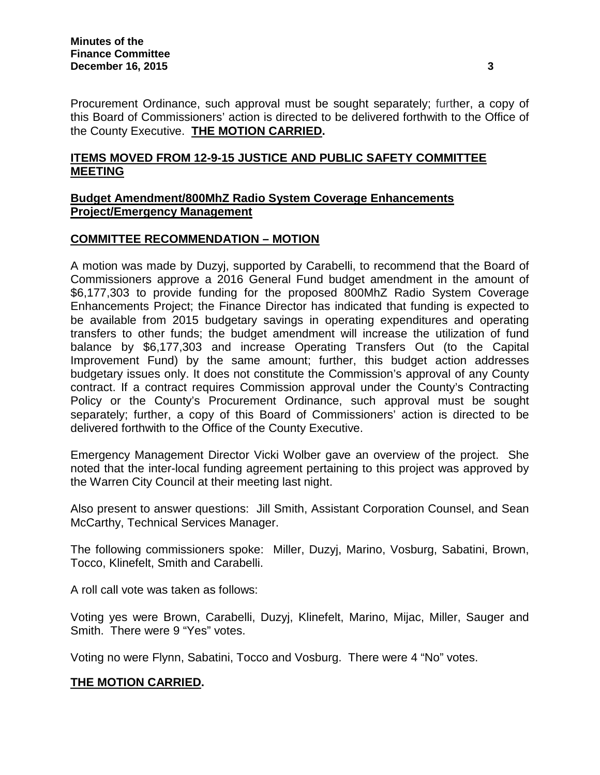Procurement Ordinance, such approval must be sought separately; further, a copy of this Board of Commissioners' action is directed to be delivered forthwith to the Office of the County Executive. **THE MOTION CARRIED.**

# **ITEMS MOVED FROM 12-9-15 JUSTICE AND PUBLIC SAFETY COMMITTEE MEETING**

### **Budget Amendment/800MhZ Radio System Coverage Enhancements Project/Emergency Management**

# **COMMITTEE RECOMMENDATION – MOTION**

A motion was made by Duzyj, supported by Carabelli, to recommend that the Board of Commissioners approve a 2016 General Fund budget amendment in the amount of \$6,177,303 to provide funding for the proposed 800MhZ Radio System Coverage Enhancements Project; the Finance Director has indicated that funding is expected to be available from 2015 budgetary savings in operating expenditures and operating transfers to other funds; the budget amendment will increase the utilization of fund balance by \$6,177,303 and increase Operating Transfers Out (to the Capital Improvement Fund) by the same amount; further, this budget action addresses budgetary issues only. It does not constitute the Commission's approval of any County contract. If a contract requires Commission approval under the County's Contracting Policy or the County's Procurement Ordinance, such approval must be sought separately; further, a copy of this Board of Commissioners' action is directed to be delivered forthwith to the Office of the County Executive.

Emergency Management Director Vicki Wolber gave an overview of the project. She noted that the inter-local funding agreement pertaining to this project was approved by the Warren City Council at their meeting last night.

Also present to answer questions: Jill Smith, Assistant Corporation Counsel, and Sean McCarthy, Technical Services Manager.

The following commissioners spoke: Miller, Duzyj, Marino, Vosburg, Sabatini, Brown, Tocco, Klinefelt, Smith and Carabelli.

A roll call vote was taken as follows:

Voting yes were Brown, Carabelli, Duzyj, Klinefelt, Marino, Mijac, Miller, Sauger and Smith. There were 9 "Yes" votes.

Voting no were Flynn, Sabatini, Tocco and Vosburg. There were 4 "No" votes.

# **THE MOTION CARRIED.**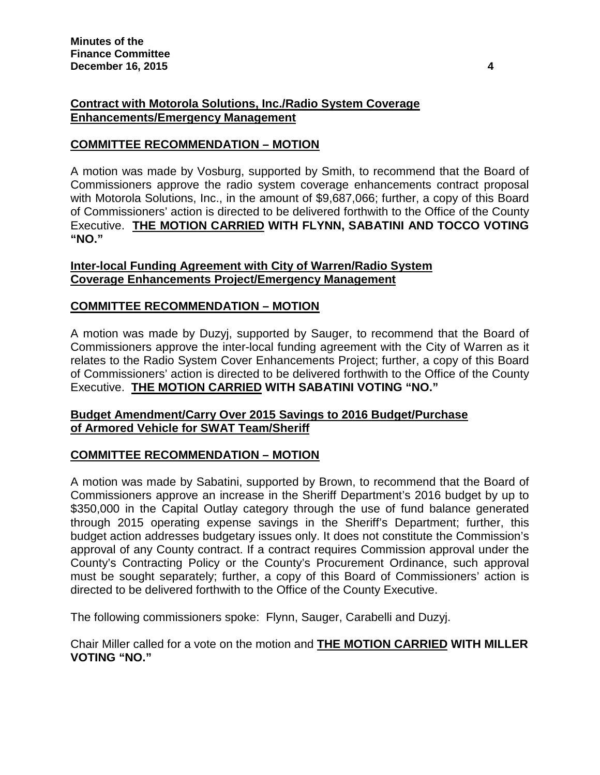# **Contract with Motorola Solutions, Inc./Radio System Coverage Enhancements/Emergency Management**

### **COMMITTEE RECOMMENDATION – MOTION**

A motion was made by Vosburg, supported by Smith, to recommend that the Board of Commissioners approve the radio system coverage enhancements contract proposal with Motorola Solutions, Inc., in the amount of \$9,687,066; further, a copy of this Board of Commissioners' action is directed to be delivered forthwith to the Office of the County Executive. **THE MOTION CARRIED WITH FLYNN, SABATINI AND TOCCO VOTING "NO."**

#### **Inter-local Funding Agreement with City of Warren/Radio System Coverage Enhancements Project/Emergency Management**

# **COMMITTEE RECOMMENDATION – MOTION**

A motion was made by Duzyj, supported by Sauger, to recommend that the Board of Commissioners approve the inter-local funding agreement with the City of Warren as it relates to the Radio System Cover Enhancements Project; further, a copy of this Board of Commissioners' action is directed to be delivered forthwith to the Office of the County Executive. **THE MOTION CARRIED WITH SABATINI VOTING "NO."**

### **Budget Amendment/Carry Over 2015 Savings to 2016 Budget/Purchase of Armored Vehicle for SWAT Team/Sheriff**

### **COMMITTEE RECOMMENDATION – MOTION**

A motion was made by Sabatini, supported by Brown, to recommend that the Board of Commissioners approve an increase in the Sheriff Department's 2016 budget by up to \$350,000 in the Capital Outlay category through the use of fund balance generated through 2015 operating expense savings in the Sheriff's Department; further, this budget action addresses budgetary issues only. It does not constitute the Commission's approval of any County contract. If a contract requires Commission approval under the County's Contracting Policy or the County's Procurement Ordinance, such approval must be sought separately; further, a copy of this Board of Commissioners' action is directed to be delivered forthwith to the Office of the County Executive.

The following commissioners spoke: Flynn, Sauger, Carabelli and Duzyj.

Chair Miller called for a vote on the motion and **THE MOTION CARRIED WITH MILLER VOTING "NO."**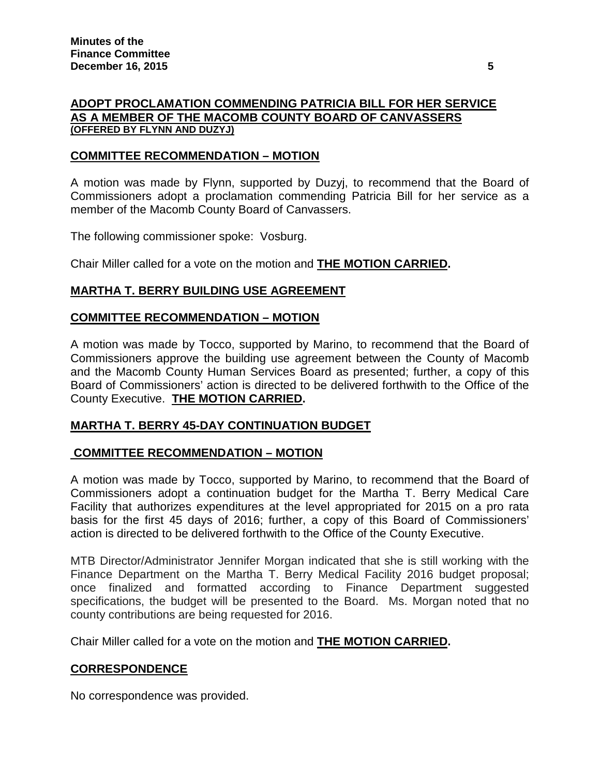#### **ADOPT PROCLAMATION COMMENDING PATRICIA BILL FOR HER SERVICE AS A MEMBER OF THE MACOMB COUNTY BOARD OF CANVASSERS (OFFERED BY FLYNN AND DUZYJ)**

#### **COMMITTEE RECOMMENDATION – MOTION**

A motion was made by Flynn, supported by Duzyj, to recommend that the Board of Commissioners adopt a proclamation commending Patricia Bill for her service as a member of the Macomb County Board of Canvassers.

The following commissioner spoke: Vosburg.

Chair Miller called for a vote on the motion and **THE MOTION CARRIED.**

#### **MARTHA T. BERRY BUILDING USE AGREEMENT**

#### **COMMITTEE RECOMMENDATION – MOTION**

A motion was made by Tocco, supported by Marino, to recommend that the Board of Commissioners approve the building use agreement between the County of Macomb and the Macomb County Human Services Board as presented; further, a copy of this Board of Commissioners' action is directed to be delivered forthwith to the Office of the County Executive. **THE MOTION CARRIED.**

#### **MARTHA T. BERRY 45-DAY CONTINUATION BUDGET**

#### **COMMITTEE RECOMMENDATION – MOTION**

A motion was made by Tocco, supported by Marino, to recommend that the Board of Commissioners adopt a continuation budget for the Martha T. Berry Medical Care Facility that authorizes expenditures at the level appropriated for 2015 on a pro rata basis for the first 45 days of 2016; further, a copy of this Board of Commissioners' action is directed to be delivered forthwith to the Office of the County Executive.

MTB Director/Administrator Jennifer Morgan indicated that she is still working with the Finance Department on the Martha T. Berry Medical Facility 2016 budget proposal; once finalized and formatted according to Finance Department suggested specifications, the budget will be presented to the Board. Ms. Morgan noted that no county contributions are being requested for 2016.

Chair Miller called for a vote on the motion and **THE MOTION CARRIED.**

### **CORRESPONDENCE**

No correspondence was provided.